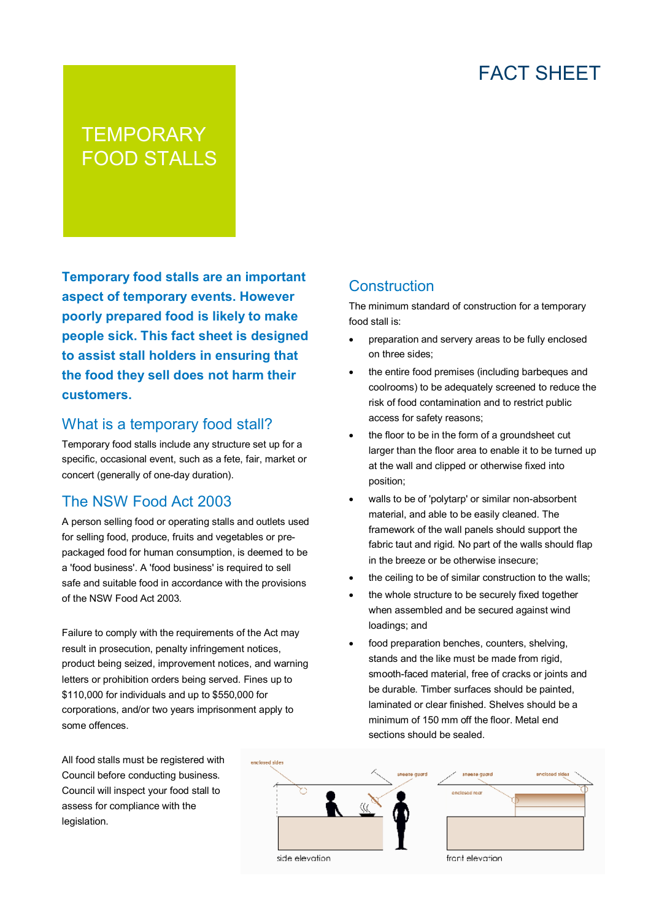# FACT SHEET

# **TEMPORARY** FOOD STALLS

**Temporary food stalls are an important aspect of temporary events. However poorly prepared food is likely to make people sick. This fact sheet is designed to assist stall holders in ensuring that the food they sell does not harm their customers.**

#### What is a temporary food stall?

Temporary food stalls include any structure set up for a specific, occasional event, such as a fete, fair, market or concert (generally of one-day duration).

#### The NSW Food Act 2003

A person selling food or operating stalls and outlets used for selling food, produce, fruits and vegetables or prepackaged food for human consumption, is deemed to be a 'food business'. A 'food business' is required to sell safe and suitable food in accordance with the provisions of the NSW Food Act 2003.

Failure to comply with the requirements of the Act may result in prosecution, penalty infringement notices, product being seized, improvement notices, and warning letters or prohibition orders being served. Fines up to \$110,000 for individuals and up to \$550,000 for corporations, and/or two years imprisonment apply to some offences.

#### **Construction**

The minimum standard of construction for a temporary food stall is:

- preparation and servery areas to be fully enclosed on three sides;
- the entire food premises (including barbeques and coolrooms) to be adequately screened to reduce the risk of food contamination and to restrict public access for safety reasons;
- the floor to be in the form of a groundsheet cut larger than the floor area to enable it to be turned up at the wall and clipped or otherwise fixed into position;
- walls to be of 'polytarp' or similar non-absorbent material, and able to be easily cleaned. The framework of the wall panels should support the fabric taut and rigid. No part of the walls should flap in the breeze or be otherwise insecure;
- the ceiling to be of similar construction to the walls;
- the whole structure to be securely fixed together when assembled and be secured against wind loadings; and
- food preparation benches, counters, shelving, stands and the like must be made from rigid. smooth-faced material, free of cracks or joints and be durable. Timber surfaces should be painted, laminated or clear finished. Shelves should be a minimum of 150 mm off the floor. Metal end sections should be sealed.

All food stalls must be registered with Council before conducting business. Council will inspect your food stall to assess for compliance with the legislation.



side elevation